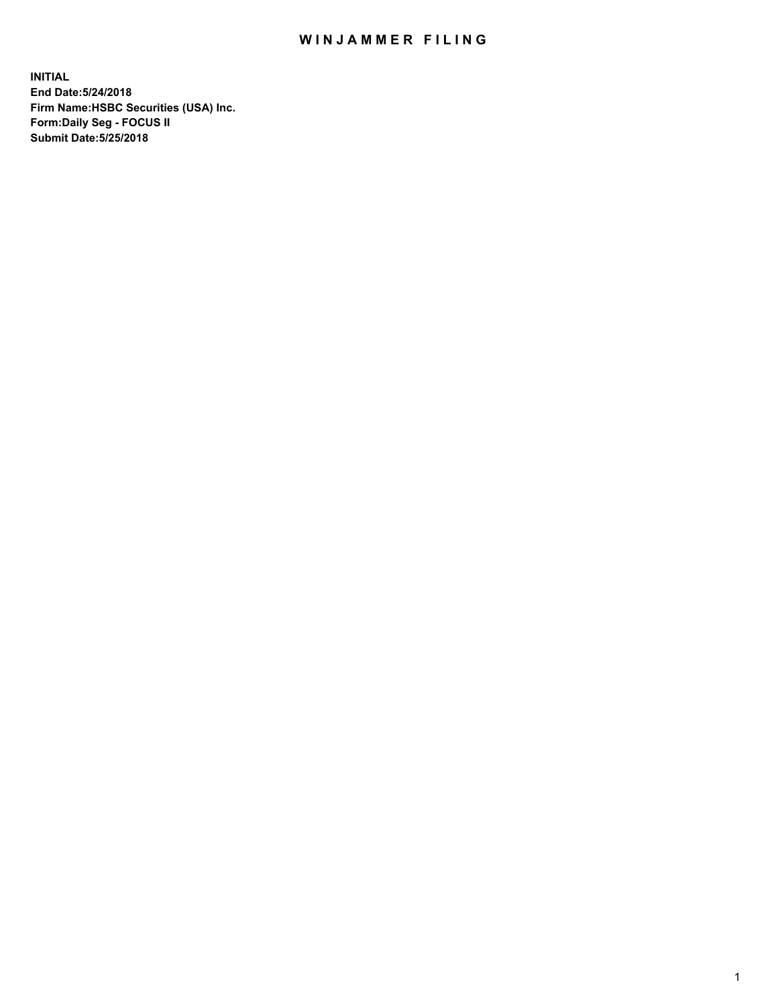## WIN JAMMER FILING

**INITIAL End Date:5/24/2018 Firm Name:HSBC Securities (USA) Inc. Form:Daily Seg - FOCUS II Submit Date:5/25/2018**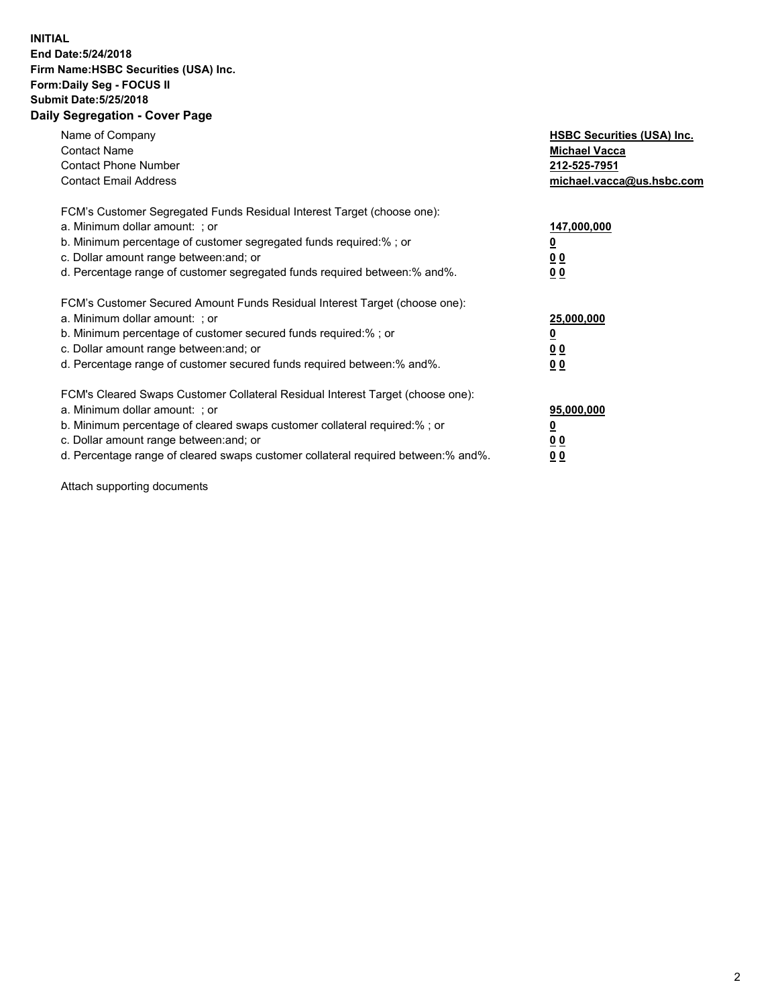## **INITIAL End Date:5/24/2018 Firm Name:HSBC Securities (USA) Inc. Form:Daily Seg - FOCUS II Submit Date:5/25/2018 Daily Segregation - Cover Page**

| Name of Company<br><b>Contact Name</b><br><b>Contact Phone Number</b><br><b>Contact Email Address</b>                                                                                                                                                                                                                         | <b>HSBC Securities (USA) Inc.</b><br><b>Michael Vacca</b><br>212-525-7951<br>michael.vacca@us.hsbc.com |
|-------------------------------------------------------------------------------------------------------------------------------------------------------------------------------------------------------------------------------------------------------------------------------------------------------------------------------|--------------------------------------------------------------------------------------------------------|
| FCM's Customer Segregated Funds Residual Interest Target (choose one):<br>a. Minimum dollar amount: ; or<br>b. Minimum percentage of customer segregated funds required:%; or<br>c. Dollar amount range between: and; or<br>d. Percentage range of customer segregated funds required between: % and %.                       | 147,000,000<br><u>0</u><br><u>00</u><br><u>00</u>                                                      |
| FCM's Customer Secured Amount Funds Residual Interest Target (choose one):<br>a. Minimum dollar amount: ; or<br>b. Minimum percentage of customer secured funds required:%; or<br>c. Dollar amount range between: and; or<br>d. Percentage range of customer secured funds required between: % and %.                         | 25,000,000<br><u>0</u><br><u>00</u><br>00                                                              |
| FCM's Cleared Swaps Customer Collateral Residual Interest Target (choose one):<br>a. Minimum dollar amount: ; or<br>b. Minimum percentage of cleared swaps customer collateral required:%; or<br>c. Dollar amount range between: and; or<br>d. Percentage range of cleared swaps customer collateral required between:% and%. | 95,000,000<br><u>0</u><br><u>00</u><br><u>00</u>                                                       |

Attach supporting documents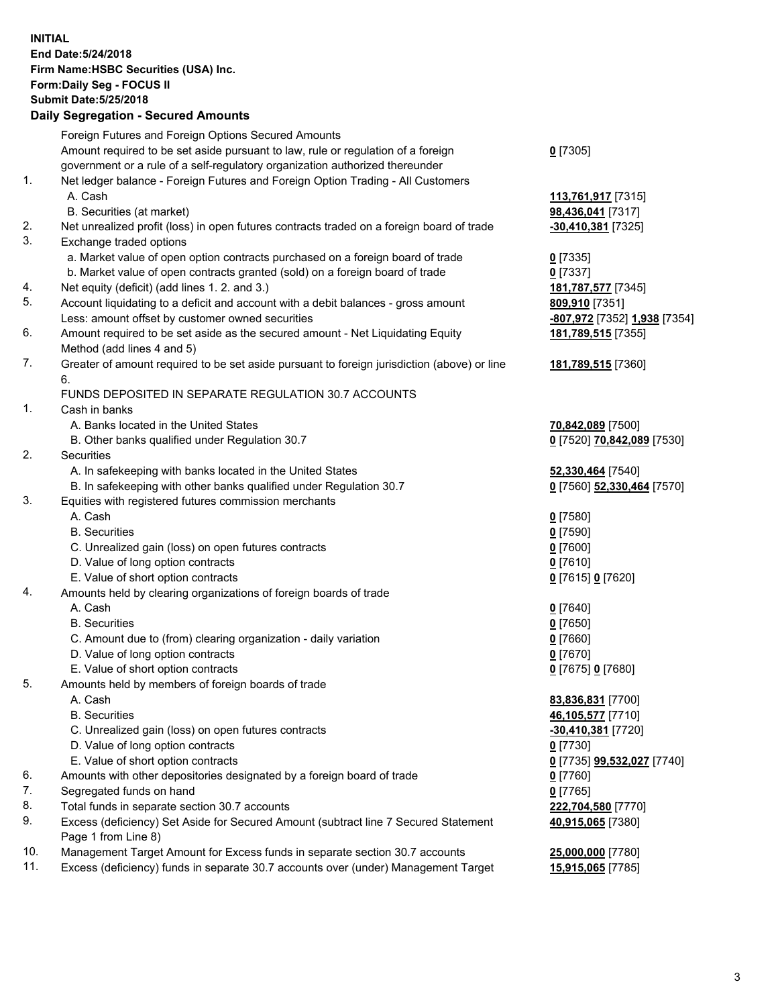**INITIAL End Date:5/24/2018 Firm Name:HSBC Securities (USA) Inc. Form:Daily Seg - FOCUS II Submit Date:5/25/2018 Daily Segregation - Secured Amounts**

Foreign Futures and Foreign Options Secured Amounts Amount required to be set aside pursuant to law, rule or regulation of a foreign government or a rule of a self-regulatory organization authorized thereunder **0** [7305] 1. Net ledger balance - Foreign Futures and Foreign Option Trading - All Customers A. Cash **113,761,917** [7315] B. Securities (at market) **98,436,041** [7317] 2. Net unrealized profit (loss) in open futures contracts traded on a foreign board of trade **-30,410,381** [7325] 3. Exchange traded options a. Market value of open option contracts purchased on a foreign board of trade **0** [7335] b. Market value of open contracts granted (sold) on a foreign board of trade **0** [7337] 4. Net equity (deficit) (add lines 1. 2. and 3.) **181,787,577** [7345] 5. Account liquidating to a deficit and account with a debit balances - gross amount **809,910** [7351] Less: amount offset by customer owned securities **-807,972** [7352] **1,938** [7354] 6. Amount required to be set aside as the secured amount - Net Liquidating Equity Method (add lines 4 and 5) **181,789,515** [7355] 7. Greater of amount required to be set aside pursuant to foreign jurisdiction (above) or line 6. **181,789,515** [7360] FUNDS DEPOSITED IN SEPARATE REGULATION 30.7 ACCOUNTS 1. Cash in banks A. Banks located in the United States **70,842,089** [7500] B. Other banks qualified under Regulation 30.7 **0** [7520] **70,842,089** [7530] 2. Securities A. In safekeeping with banks located in the United States **52,330,464** [7540] B. In safekeeping with other banks qualified under Regulation 30.7 **0** [7560] **52,330,464** [7570] 3. Equities with registered futures commission merchants A. Cash **0** [7580] B. Securities **0** [7590] C. Unrealized gain (loss) on open futures contracts **0** [7600] D. Value of long option contracts **0** [7610] E. Value of short option contracts **0** [7615] **0** [7620] 4. Amounts held by clearing organizations of foreign boards of trade A. Cash **0** [7640] B. Securities **0** [7650] C. Amount due to (from) clearing organization - daily variation **0** [7660] D. Value of long option contracts **0** [7670] E. Value of short option contracts **0** [7675] **0** [7680] 5. Amounts held by members of foreign boards of trade A. Cash **83,836,831** [7700] B. Securities **46,105,577** [7710] C. Unrealized gain (loss) on open futures contracts **-30,410,381** [7720] D. Value of long option contracts **0** [7730] E. Value of short option contracts **0** [7735] **99,532,027** [7740] 6. Amounts with other depositories designated by a foreign board of trade **0** [7760] 7. Segregated funds on hand **0** [7765] 8. Total funds in separate section 30.7 accounts **222,704,580** [7770] 9. Excess (deficiency) Set Aside for Secured Amount (subtract line 7 Secured Statement Page 1 from Line 8) **40,915,065** [7380] 10. Management Target Amount for Excess funds in separate section 30.7 accounts **25,000,000** [7780] 11. Excess (deficiency) funds in separate 30.7 accounts over (under) Management Target **15,915,065** [7785]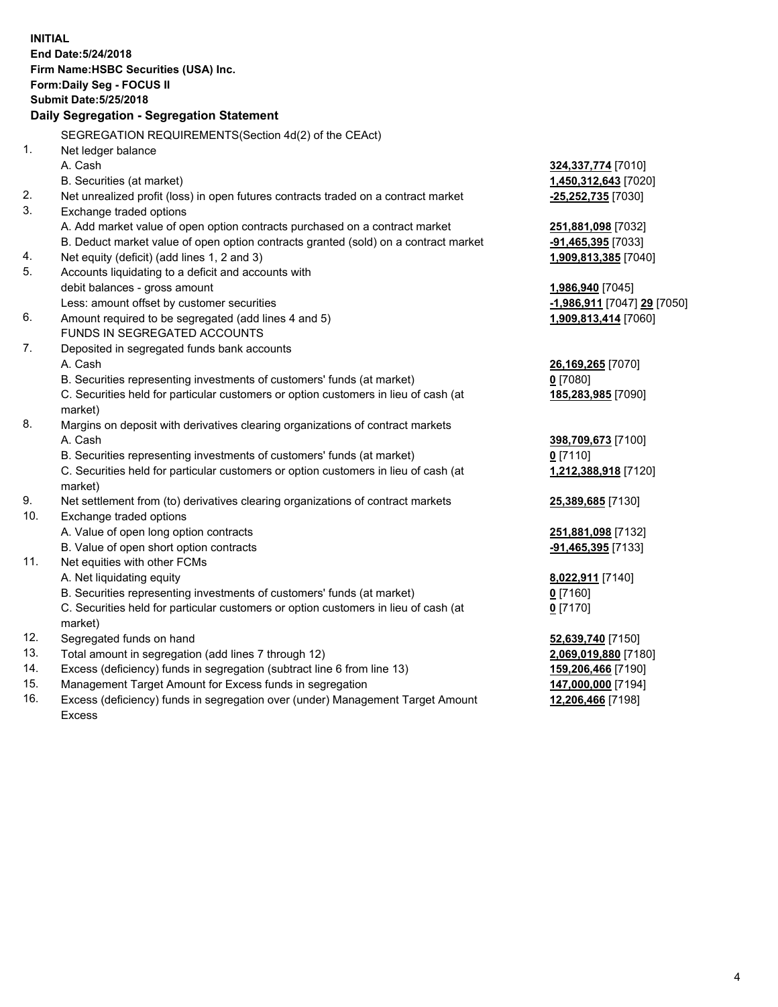**INITIAL End Date:5/24/2018 Firm Name:HSBC Securities (USA) Inc. Form:Daily Seg - FOCUS II Submit Date:5/25/2018 Daily Segregation - Segregation Statement** SEGREGATION REQUIREMENTS(Section 4d(2) of the CEAct) 1. Net ledger balance A. Cash **324,337,774** [7010] B. Securities (at market) **1,450,312,643** [7020] 2. Net unrealized profit (loss) in open futures contracts traded on a contract market **-25,252,735** [7030] 3. Exchange traded options A. Add market value of open option contracts purchased on a contract market **251,881,098** [7032] B. Deduct market value of open option contracts granted (sold) on a contract market **-91,465,395** [7033] 4. Net equity (deficit) (add lines 1, 2 and 3) **1,909,813,385** [7040] 5. Accounts liquidating to a deficit and accounts with debit balances - gross amount **1,986,940** [7045] Less: amount offset by customer securities **-1,986,911** [7047] **29** [7050] 6. Amount required to be segregated (add lines 4 and 5) **1,909,813,414** [7060] FUNDS IN SEGREGATED ACCOUNTS 7. Deposited in segregated funds bank accounts A. Cash **26,169,265** [7070] B. Securities representing investments of customers' funds (at market) **0** [7080] C. Securities held for particular customers or option customers in lieu of cash (at market) **185,283,985** [7090] 8. Margins on deposit with derivatives clearing organizations of contract markets A. Cash **398,709,673** [7100] B. Securities representing investments of customers' funds (at market) **0** [7110] C. Securities held for particular customers or option customers in lieu of cash (at market) **1,212,388,918** [7120] 9. Net settlement from (to) derivatives clearing organizations of contract markets **25,389,685** [7130] 10. Exchange traded options A. Value of open long option contracts **251,881,098** [7132] B. Value of open short option contracts **-91,465,395** [7133] 11. Net equities with other FCMs A. Net liquidating equity **8,022,911** [7140] B. Securities representing investments of customers' funds (at market) **0** [7160] C. Securities held for particular customers or option customers in lieu of cash (at market) **0** [7170] 12. Segregated funds on hand **52,639,740** [7150] 13. Total amount in segregation (add lines 7 through 12) **2,069,019,880** [7180] 14. Excess (deficiency) funds in segregation (subtract line 6 from line 13) **159,206,466** [7190] 15. Management Target Amount for Excess funds in segregation **147,000,000** [7194]

- 16. Excess (deficiency) funds in segregation over (under) Management Target Amount
- Excess

**12,206,466** [7198]